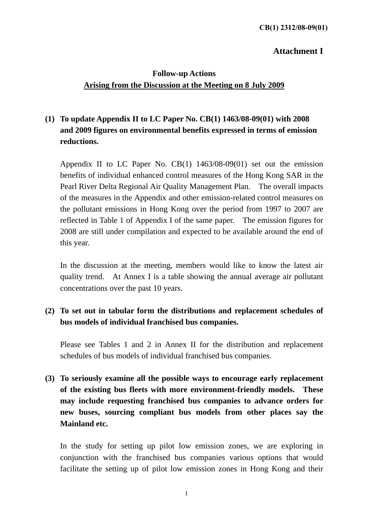#### **Attachment I**

## **Follow-up Actions Arising from the Discussion at the Meeting on 8 July 2009**

# **(1) To update Appendix II to LC Paper No. CB(1) 1463/08-09(01) with 2008 and 2009 figures on environmental benefits expressed in terms of emission reductions.**

Appendix II to LC Paper No. CB(1) 1463/08-09(01) set out the emission benefits of individual enhanced control measures of the Hong Kong SAR in the Pearl River Delta Regional Air Quality Management Plan. The overall impacts of the measures in the Appendix and other emission-related control measures on the pollutant emissions in Hong Kong over the period from 1997 to 2007 are reflected in Table 1 of Appendix I of the same paper. The emission figures for 2008 are still under compilation and expected to be available around the end of this year.

In the discussion at the meeting, members would like to know the latest air quality trend. At Annex I is a table showing the annual average air pollutant concentrations over the past 10 years.

## **(2) To set out in tabular form the distributions and replacement schedules of bus models of individual franchised bus companies.**

Please see Tables 1 and 2 in Annex II for the distribution and replacement schedules of bus models of individual franchised bus companies.

# **(3) To seriously examine all the possible ways to encourage early replacement of the existing bus fleets with more environment-friendly models. These may include requesting franchised bus companies to advance orders for new buses, sourcing compliant bus models from other places say the Mainland etc.**

In the study for setting up pilot low emission zones, we are exploring in conjunction with the franchised bus companies various options that would facilitate the setting up of pilot low emission zones in Hong Kong and their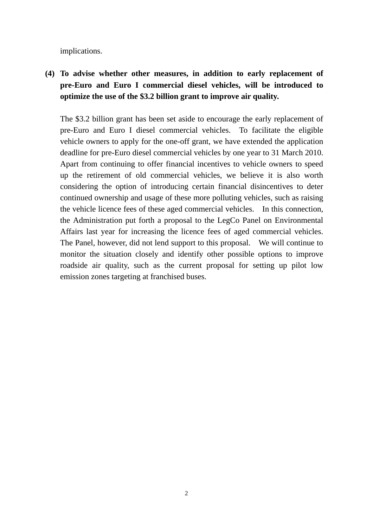implications.

**(4) To advise whether other measures, in addition to early replacement of pre-Euro and Euro I commercial diesel vehicles, will be introduced to optimize the use of the \$3.2 billion grant to improve air quality.** 

The \$3.2 billion grant has been set aside to encourage the early replacement of pre-Euro and Euro I diesel commercial vehicles. To facilitate the eligible vehicle owners to apply for the one-off grant, we have extended the application deadline for pre-Euro diesel commercial vehicles by one year to 31 March 2010. Apart from continuing to offer financial incentives to vehicle owners to speed up the retirement of old commercial vehicles, we believe it is also worth considering the option of introducing certain financial disincentives to deter continued ownership and usage of these more polluting vehicles, such as raising the vehicle licence fees of these aged commercial vehicles. In this connection, the Administration put forth a proposal to the LegCo Panel on Environmental Affairs last year for increasing the licence fees of aged commercial vehicles. The Panel, however, did not lend support to this proposal. We will continue to monitor the situation closely and identify other possible options to improve roadside air quality, such as the current proposal for setting up pilot low emission zones targeting at franchised buses.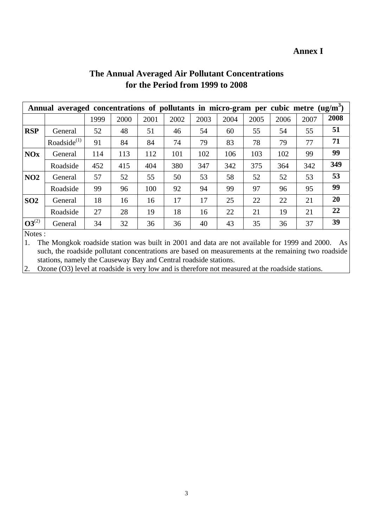#### **Annex I**

| Annual averaged concentrations of pollutants in micro-gram per cubic metre $(ug/m3)$ |                   |      |      |      |      |      |      |      |      |      |           |
|--------------------------------------------------------------------------------------|-------------------|------|------|------|------|------|------|------|------|------|-----------|
|                                                                                      |                   | 1999 | 2000 | 2001 | 2002 | 2003 | 2004 | 2005 | 2006 | 2007 | 2008      |
| <b>RSP</b>                                                                           | General           | 52   | 48   | 51   | 46   | 54   | 60   | 55   | 54   | 55   | 51        |
|                                                                                      | Roadside $^{(1)}$ | 91   | 84   | 84   | 74   | 79   | 83   | 78   | 79   | 77   | 71        |
| <b>NOx</b>                                                                           | General           | 114  | 113  | 112  | 101  | 102  | 106  | 103  | 102  | 99   | 99        |
|                                                                                      | Roadside          | 452  | 415  | 404  | 380  | 347  | 342  | 375  | 364  | 342  | 349       |
| NO <sub>2</sub>                                                                      | General           | 57   | 52   | 55   | 50   | 53   | 58   | 52   | 52   | 53   | 53        |
|                                                                                      | Roadside          | 99   | 96   | 100  | 92   | 94   | 99   | 97   | 96   | 95   | 99        |
| SO <sub>2</sub>                                                                      | General           | 18   | 16   | 16   | 17   | 17   | 25   | 22   | 22   | 21   | <b>20</b> |
|                                                                                      | Roadside          | 27   | 28   | 19   | 18   | 16   | 22   | 21   | 19   | 21   | 22        |
| $O3^{(2)}$                                                                           | General           | 34   | 32   | 36   | 36   | 40   | 43   | 35   | 36   | 37   | 39        |

# **The Annual Averaged Air Pollutant Concentrations for the Period from 1999 to 2008**

Notes :

1. The Mongkok roadside station was built in 2001 and data are not available for 1999 and 2000. As such, the roadside pollutant concentrations are based on measurements at the remaining two roadside stations, namely the Causeway Bay and Central roadside stations.

2. Ozone (O3) level at roadside is very low and is therefore not measured at the roadside stations.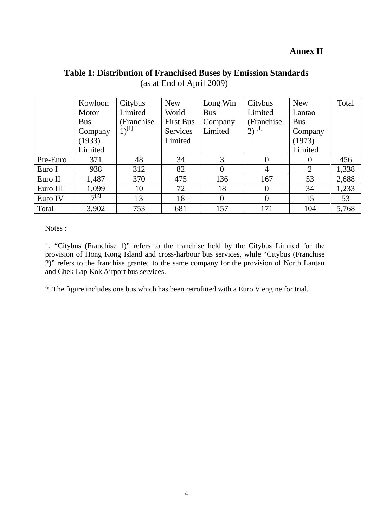#### **Annex II**

# **Table 1: Distribution of Franchised Buses by Emission Standards**

|          | Kowloon    | Citybus     | New              | Long Win   | Citybus             | <b>New</b> | Total |
|----------|------------|-------------|------------------|------------|---------------------|------------|-------|
|          | Motor      | Limited     | World            | <b>Bus</b> | Limited             | Lantao     |       |
|          | <b>Bus</b> | (Franchise) | <b>First Bus</b> | Company    | (Franchise)         | <b>Bus</b> |       |
|          | Company    | $1)^{[1]}$  | Services         | Limited    | $2)$ <sup>[1]</sup> | Company    |       |
|          | (1933)     |             | Limited          |            |                     | (1973)     |       |
|          | Limited    |             |                  |            |                     | Limited    |       |
| Pre-Euro | 371        | 48          | 34               | 3          | $\theta$            | $\theta$   | 456   |
| Euro I   | 938        | 312         | 82               |            | 4                   | 2          | 1,338 |
| Euro II  | 1,487      | 370         | 475              | 136        | 167                 | 53         | 2,688 |
| Euro III | 1,099      | 10          | 72               | 18         |                     | 34         | 1,233 |
| Euro IV  | $7^{[2]}$  | 13          | 18               |            |                     | 15         | 53    |
| Total    | 3,902      | 753         | 681              | 157        | 171                 | 104        | 5,768 |

(as at End of April 2009)

Notes :

1. "Citybus (Franchise 1)" refers to the franchise held by the Citybus Limited for the provision of Hong Kong Island and cross-harbour bus services, while "Citybus (Franchise 2)" refers to the franchise granted to the same company for the provision of North Lantau and Chek Lap Kok Airport bus services.

2. The figure includes one bus which has been retrofitted with a Euro V engine for trial.